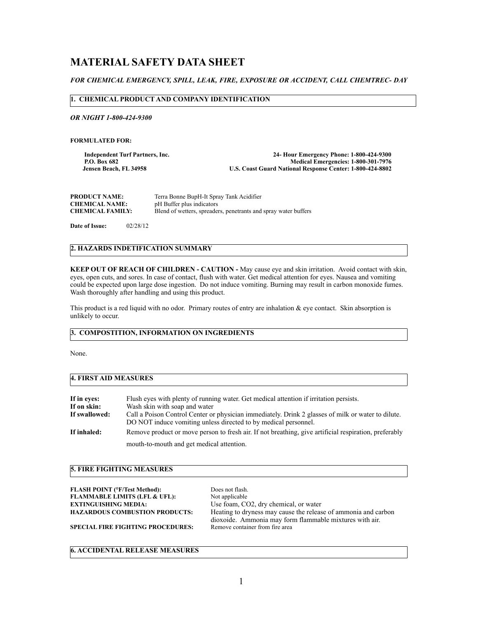# **MATERIAL SAFETY DATA SHEET**

# *FOR CHEMICAL EMERGENCY, SPILL, LEAK, FIRE, EXPOSURE OR ACCIDENT, CALL CHEMTREC- DAY*

## **1. CHEMICAL PRODUCT AND COMPANY IDENTIFICATION**

*OR NIGHT 1-800-424-9300*

**FORMULATED FOR:** 

**Independent Turf Partners, Inc.** 24- Hour Emergency Phone: 1-800-424-9300<br>P.O. Box 682<br>Medical Emergencies: 1-800-301-7976 P.O. Box 682<br>Jensen Beach, FL 34958 **Medical Emergencies: 1-800-301-7976**<br>U.S. Coast Guard National Response Center: 1-800-424-8802  **U.S. Coast Guard National Response Center: 1-800-424-8802** 

| <b>PRODUCT NAME:</b>    | Terra Bonne BupH-It Spray Tank Acidifier                        |
|-------------------------|-----------------------------------------------------------------|
| <b>CHEMICAL NAME:</b>   | pH Buffer plus indicators                                       |
| <b>CHEMICAL FAMILY:</b> | Blend of wetters, spreaders, penetrants and spray water buffers |

**Date of Issue:** 02/28/12

## **2. HAZARDS INDETIFICATION SUMMARY**

**KEEP OUT OF REACH OF CHILDREN - CAUTION -** May cause eye and skin irritation. Avoid contact with skin, eyes, open cuts, and sores. In case of contact, flush with water. Get medical attention for eyes. Nausea and vomiting could be expected upon large dose ingestion. Do not induce vomiting. Burning may result in carbon monoxide fumes. Wash thoroughly after handling and using this product.

This product is a red liquid with no odor. Primary routes of entry are inhalation & eye contact. Skin absorption is unlikely to occur.

## **3. COMPOSTITION, INFORMATION ON INGREDIENTS**

None.

## **4. FIRST AID MEASURES**

| If in eves:   | Flush eyes with plenty of running water. Get medical attention if irritation persists.                                                                                |
|---------------|-----------------------------------------------------------------------------------------------------------------------------------------------------------------------|
| If on skin:   | Wash skin with soap and water                                                                                                                                         |
| If swallowed: | Call a Poison Control Center or physician immediately. Drink 2 glasses of milk or water to dilute.<br>DO NOT induce vomiting unless directed to by medical personnel. |
| If inhaled:   | Remove product or move person to fresh air. If not breathing, give artificial respiration, preferably                                                                 |
|               | mouth-to-mouth and get medical attention.                                                                                                                             |

# **5. FIRE FIGHTING MEASURES**

| <b>FLASH POINT (°F/Test Method):</b>     | Does not flash.                                                |
|------------------------------------------|----------------------------------------------------------------|
| <b>FLAMMABLE LIMITS (LFL &amp; UFL):</b> | Not applicable                                                 |
| <b>EXTINGUISHING MEDIA:</b>              | Use foam, CO2, dry chemical, or water                          |
| <b>HAZARDOUS COMBUSTION PRODUCTS:</b>    | Heating to dryness may cause the release of ammonia and carbon |
|                                          | dioxoide. Ammonia may form flammable mixtures with air.        |
| <b>SPECIAL FIRE FIGHTING PROCEDURES:</b> | Remove container from fire area                                |
|                                          |                                                                |

## **6. ACCIDENTAL RELEASE MEASURES**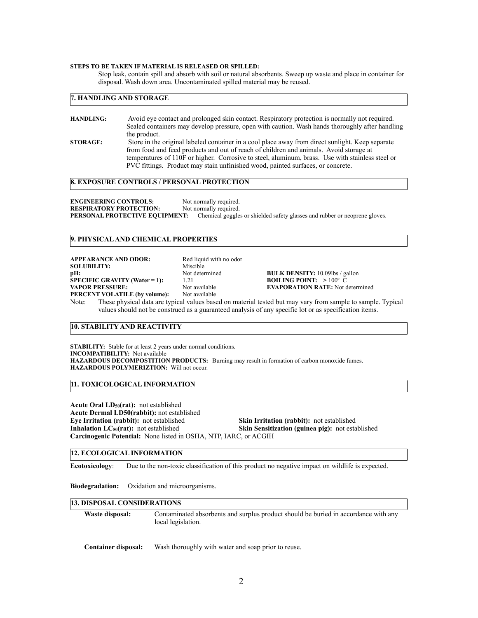#### **STEPS TO BE TAKEN IF MATERIAL IS RELEASED OR SPILLED:**

Stop leak, contain spill and absorb with soil or natural absorbents. Sweep up waste and place in container for disposal. Wash down area. Uncontaminated spilled material may be reused.

## **7. HANDLING AND STORAGE**

| <b>HANDLING:</b> | Avoid eye contact and prolonged skin contact. Respiratory protection is normally not required.   |
|------------------|--------------------------------------------------------------------------------------------------|
|                  | Sealed containers may develop pressure, open with caution. Wash hands thoroughly after handling  |
|                  | the product.                                                                                     |
| <b>STORAGE:</b>  | Store in the original labeled container in a cool place away from direct sunlight. Keep separate |
|                  | from food and feed products and out of reach of children and animals. Avoid storage at           |
|                  | temperatures of 110F or higher. Corrosive to steel, aluminum, brass. Use with stainless steel or |
|                  | PVC fittings. Product may stain unfinished wood, painted surfaces, or concrete.                  |

#### **8. EXPOSURE CONTROLS / PERSONAL PROTECTION**

**ENGINEERING CONTROLS:** Not normally required.<br> **RESPIRATORY PROTECTION:** Not normally required. **RESPIRATORY PROTECTION: PERSONAL PROTECTIVE EQUIPMENT:** Chemical goggles or shielded safety glasses and rubber or neoprene gloves.

#### **9. PHYSICAL AND CHEMICAL PROPERTIES**

| <b>APPEARANCE AND ODOR:</b>          | Red liquid with no odor |                                                                                                               |
|--------------------------------------|-------------------------|---------------------------------------------------------------------------------------------------------------|
| <b>SOLUBILITY:</b>                   | Miscible                |                                                                                                               |
| pH:                                  | Not determined          | <b>BULK DENSITY:</b> 10.09lbs / gallon                                                                        |
| <b>SPECIFIC GRAVITY (Water = 1):</b> | 1 21                    | <b>BOILING POINT:</b> $>100^{\circ}$ C                                                                        |
| <b>VAPOR PRESSURE:</b>               | Not available           | <b>EVAPORATION RATE:</b> Not determined                                                                       |
| PERCENT VOLATILE (by volume):        | Not available           |                                                                                                               |
|                                      |                         | Nota: These physical data are typical values begad on motorial tostad but moy your from comple to comple. Typ |

Note: These physical data are typical values based on material tested but may vary from sample to sample. Typical values should not be construed as a guaranteed analysis of any specific lot or as specification items.

#### **10. STABILITY AND REACTIVITY**

**STABILITY:** Stable for at least 2 years under normal conditions. **INCOMPATIBILITY:** Not available **HAZARDOUS DECOMPOSTITION PRODUCTS:** Burning may result in formation of carbon monoxide fumes. **HAZARDOUS POLYMERIZTION:** Will not occur.

**11. TOXICOLOGICAL INFORMATION**

**Acute Oral LD50(rat):** not established **Acute Dermal LD50(rabbit):** not established **Eye Irritation (rabbit):** not established<br> **Skin Irritation (rabbit):** not established<br> **Skin Sensitization (guinea pig):** not established<br> **Skin Sensitization (guinea pig):** not esta **Skin Sensitization (guinea pig):** not established **Carcinogenic Potential:** None listed in OSHA, NTP, IARC, or ACGIH

## **12. ECOLOGICAL INFORMATION**

**Ecotoxicology**: Due to the non-toxic classification of this product no negative impact on wildlife is expected.

**Biodegradation:** Oxidation and microorganisms.

#### **13. DISPOSAL CONSIDERATIONS**

**Waste disposal:** Contaminated absorbents and surplus product should be buried in accordance with any local legislation.

**Container disposal:** Wash thoroughly with water and soap prior to reuse.